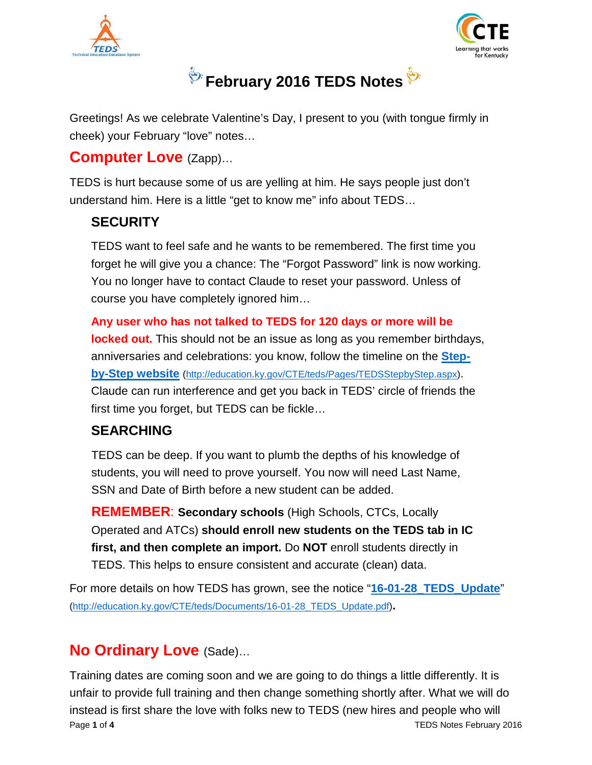



# **February 2016 TEDS Notes**

Greetings! As we celebrate Valentine's Day, I present to you (with tongue firmly in cheek) your February "love" notes…

#### **Computer Love** (Zapp)…

TEDS is hurt because some of us are yelling at him. He says people just don't understand him. Here is a little "get to know me" info about TEDS…

#### **SECURITY**

TEDS want to feel safe and he wants to be remembered. The first time you forget he will give you a chance: The "Forgot Password" link is now working. You no longer have to contact Claude to reset your password. Unless of course you have completely ignored him…

#### **Any user who has not talked to TEDS for 120 days or more will be**

**locked out.** This should not be an issue as long as you remember birthdays, anniversaries and celebrations: you know, follow the timeline on the **[Step](http://education.ky.gov/CTE/teds/Pages/TEDSStepbyStep.aspx)[by-Step website](http://education.ky.gov/CTE/teds/Pages/TEDSStepbyStep.aspx)** [\(http://education.ky.gov/CTE/teds/Pages/TEDSStepbyStep.aspx\)](http://education.ky.gov/CTE/teds/Pages/TEDSStepbyStep.aspx). Claude can run interference and get you back in TEDS' circle of friends the first time you forget, but TEDS can be fickle…

#### **SEARCHING**

TEDS can be deep. If you want to plumb the depths of his knowledge of students, you will need to prove yourself. You now will need Last Name, SSN and Date of Birth before a new student can be added.

**REMEMBER**: **Secondary schools** (High Schools, CTCs, Locally Operated and ATCs) **should enroll new students on the TEDS tab in IC first, and then complete an import.** Do **NOT** enroll students directly in TEDS. This helps to ensure consistent and accurate (clean) data.

For more details on how TEDS has grown, see the notice "**[16-01-28\\_TEDS\\_Update](http://education.ky.gov/CTE/teds/Documents/16-01-28_TEDS_Update.pdf)**" [\(http://education.ky.gov/CTE/teds/Documents/16-01-28\\_TEDS\\_Update.pdf\)](http://education.ky.gov/CTE/teds/Documents/16-01-28_TEDS_Update.pdf)**.**

# **No Ordinary Love** (Sade)…

Training dates are coming soon and we are going to do things a little differently. It is unfair to provide full training and then change something shortly after. What we will do instead is first share the love with folks new to TEDS (new hires and people who will Page **1** of **4** TEDS Notes February 2016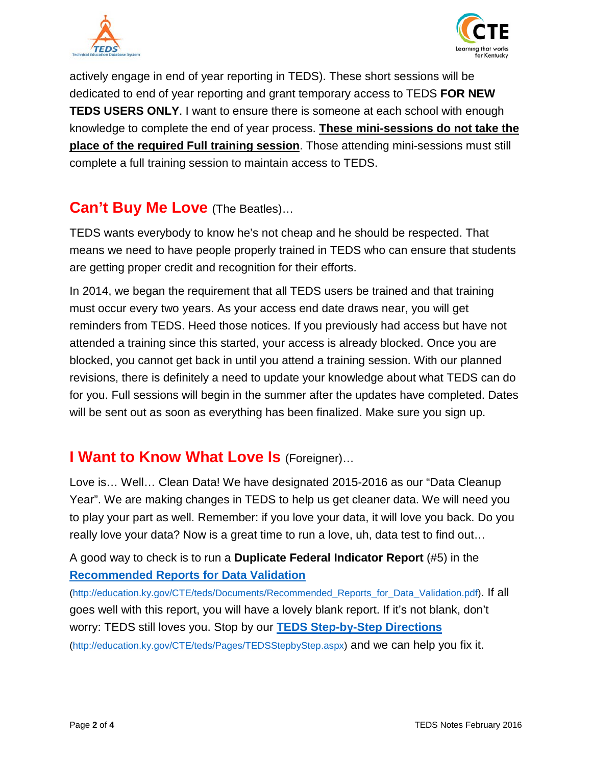



actively engage in end of year reporting in TEDS). These short sessions will be dedicated to end of year reporting and grant temporary access to TEDS **FOR NEW TEDS USERS ONLY**. I want to ensure there is someone at each school with enough knowledge to complete the end of year process. **These mini-sessions do not take the place of the required Full training session**. Those attending mini-sessions must still complete a full training session to maintain access to TEDS.

#### **Can't Buy Me Love** (The Beatles)…

TEDS wants everybody to know he's not cheap and he should be respected. That means we need to have people properly trained in TEDS who can ensure that students are getting proper credit and recognition for their efforts.

In 2014, we began the requirement that all TEDS users be trained and that training must occur every two years. As your access end date draws near, you will get reminders from TEDS. Heed those notices. If you previously had access but have not attended a training since this started, your access is already blocked. Once you are blocked, you cannot get back in until you attend a training session. With our planned revisions, there is definitely a need to update your knowledge about what TEDS can do for you. Full sessions will begin in the summer after the updates have completed. Dates will be sent out as soon as everything has been finalized. Make sure you sign up.

### **I Want to Know What Love Is** (Foreigner)…

Love is… Well… Clean Data! We have designated 2015-2016 as our "Data Cleanup Year". We are making changes in TEDS to help us get cleaner data. We will need you to play your part as well. Remember: if you love your data, it will love you back. Do you really love your data? Now is a great time to run a love, uh, data test to find out…

A good way to check is to run a **Duplicate Federal Indicator Report** (#5) in the **[Recommended Reports for Data Validation](http://education.ky.gov/CTE/teds/Documents/Recommended_Reports_for_Data_Validation.pdf)**

[\(http://education.ky.gov/CTE/teds/Documents/Recommended\\_Reports\\_for\\_Data\\_Validation.pdf\)](http://education.ky.gov/CTE/teds/Documents/Recommended_Reports_for_Data_Validation.pdf). If all goes well with this report, you will have a lovely blank report. If it's not blank, don't worry: TEDS still loves you. Stop by our **[TEDS Step-by-Step Directions](http://education.ky.gov/CTE/teds/Pages/TEDSStepbyStep.aspx)** [\(http://education.ky.gov/CTE/teds/Pages/TEDSStepbyStep.aspx\)](http://education.ky.gov/CTE/teds/Pages/TEDSStepbyStep.aspx) and we can help you fix it.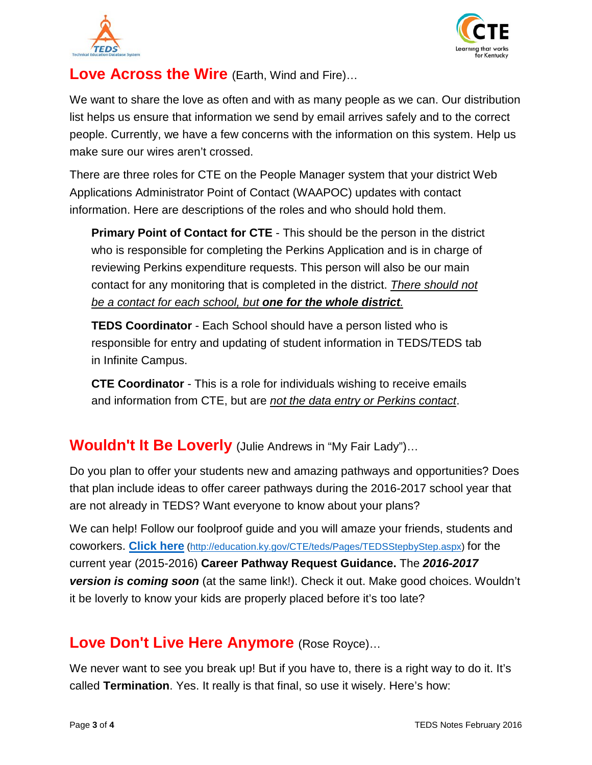



## **Love Across the Wire** (Earth, Wind and Fire)…

We want to share the love as often and with as many people as we can. Our distribution list helps us ensure that information we send by email arrives safely and to the correct people. Currently, we have a few concerns with the information on this system. Help us make sure our wires aren't crossed.

There are three roles for CTE on the People Manager system that your district Web Applications Administrator Point of Contact (WAAPOC) updates with contact information. Here are descriptions of the roles and who should hold them.

**Primary Point of Contact for CTE** - This should be the person in the district who is responsible for completing the Perkins Application and is in charge of reviewing Perkins expenditure requests. This person will also be our main contact for any monitoring that is completed in the district. *There should not be a contact for each school, but one for the whole district.*

**TEDS Coordinator** - Each School should have a person listed who is responsible for entry and updating of student information in TEDS/TEDS tab in Infinite Campus.

**CTE Coordinator** - This is a role for individuals wishing to receive emails and information from CTE, but are *not the data entry or Perkins contact*.

#### **Wouldn't It Be Loverly** (Julie Andrews in "My Fair Lady")…

Do you plan to offer your students new and amazing pathways and opportunities? Does that plan include ideas to offer career pathways during the 2016-2017 school year that are not already in TEDS? Want everyone to know about your plans?

We can help! Follow our foolproof guide and you will amaze your friends, students and coworkers. **[Click here](http://education.ky.gov/CTE/teds/Pages/TEDSStepbyStep.aspx)** [\(http://education.ky.gov/CTE/teds/Pages/TEDSStepbyStep.aspx\)](http://education.ky.gov/CTE/teds/Pages/TEDSStepbyStep.aspx) for the current year (2015-2016) **Career Pathway Request Guidance.** The *2016-2017 version is coming soon* (at the same link!). Check it out. Make good choices. Wouldn't it be loverly to know your kids are properly placed before it's too late?

### **Love Don't Live Here Anymore** (Rose Royce)…

We never want to see you break up! But if you have to, there is a right way to do it. It's called **Termination**. Yes. It really is that final, so use it wisely. Here's how: